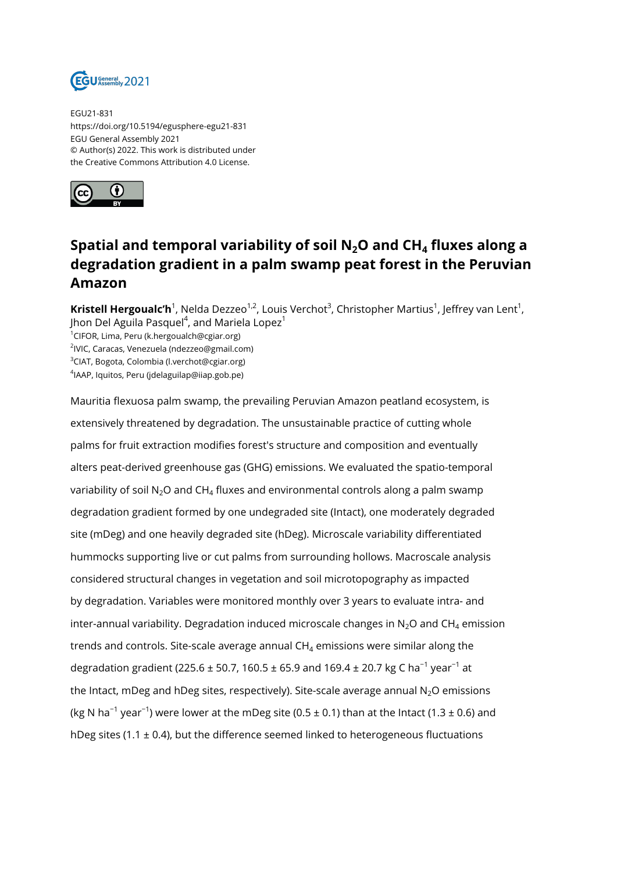

EGU21-831 https://doi.org/10.5194/egusphere-egu21-831 EGU General Assembly 2021 © Author(s) 2022. This work is distributed under the Creative Commons Attribution 4.0 License.



## **Spatial and temporal variability of soil N2O and CH<sup>4</sup> fluxes along a degradation gradient in a palm swamp peat forest in the Peruvian Amazon**

**Kristell Hergoualc'h**<sup>1</sup>, Nelda Dezzeo<sup>1,2</sup>, Louis Verchot<sup>3</sup>, Christopher Martius<sup>1</sup>, Jeffrey van Lent<sup>1</sup>, Jhon Del Aguila Pasquel $^4$ , and Mariela Lopez $^1$ 

<sup>1</sup>CIFOR, Lima, Peru (k.hergoualch@cgiar.org) 2 IVIC, Caracas, Venezuela (ndezzeo@gmail.com) <sup>3</sup>CIAT, Bogota, Colombia (l.verchot@cgiar.org) 4 IAAP, Iquitos, Peru (jdelaguilap@iiap.gob.pe)

Mauritia flexuosa palm swamp, the prevailing Peruvian Amazon peatland ecosystem, is extensively threatened by degradation. The unsustainable practice of cutting whole palms for fruit extraction modifies forest's structure and composition and eventually alters peat-derived greenhouse gas (GHG) emissions. We evaluated the spatio-temporal variability of soil N $_{2}$ O and CH $_{4}$  fluxes and environmental controls along a palm swamp degradation gradient formed by one undegraded site (Intact), one moderately degraded site (mDeg) and one heavily degraded site (hDeg). Microscale variability differentiated hummocks supporting live or cut palms from surrounding hollows. Macroscale analysis considered structural changes in vegetation and soil microtopography as impacted by degradation. Variables were monitored monthly over 3 years to evaluate intra- and inter-annual variability. Degradation induced microscale changes in N $_{2}$ O and CH $_{4}$  emission trends and controls. Site-scale average annual CH $_4$  emissions were similar along the degradation gradient (225.6 ± 50.7, 160.5 ± 65.9 and 169.4 ± 20.7 kg C ha<sup>-1</sup> year<sup>-1</sup> at the Intact, mDeg and hDeg sites, respectively). Site-scale average annual  $N<sub>2</sub>O$  emissions (kg N ha<sup>-1</sup> year<sup>-1</sup>) were lower at the mDeg site (0.5 ± 0.1) than at the Intact (1.3 ± 0.6) and hDeg sites (1.1  $\pm$  0.4), but the difference seemed linked to heterogeneous fluctuations